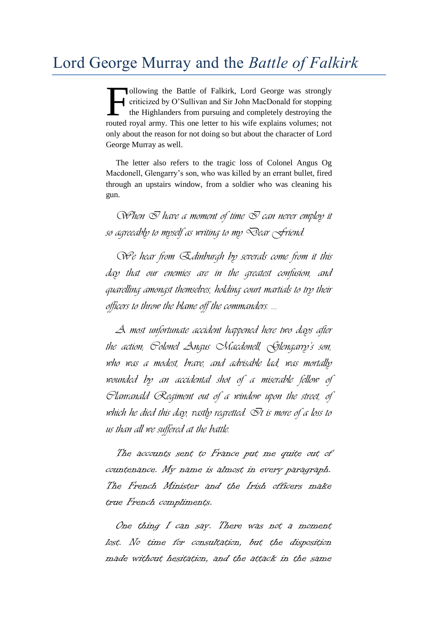ollowing the Battle of Falkirk, Lord George was strongly criticized by O'Sullivan and Sir John MacDonald for stopping the Highlanders from pursuing and completely destroying the routed royal army. This one letter to his wife explains volumes; not only about the reason for not doing so but about the character of Lord George Murray as well. F

The letter also refers to the tragic loss of Colonel Angus Og Macdonell, Glengarry's son, who was killed by an errant bullet, fired through an upstairs window, from a soldier who was cleaning his gun.

 $Q$ *Phen*  $Q$  *have a moment of time*  $Q$  *can never employ it so agreeably to myself as writing to my Dear Friend.*

*We hear from Edinburgh by severals come from it this day that our enemies are in the greatest confusion, and quarelling amongst themselves, holding court martials to try their officers to throw the blame off the commanders. …*

*A most unfortunate accident happened here two days after the action; Colonel Angus Macdonell, Glengarry's son, who was a modest, brave, and advisable lad, was mortally wounded by an accidental shot of a miserable fellow of Clanranald Regiment out of a window upon the street, of*  which he died this day, vastly regretted.  $\bar{\mathcal{O}}$ t is more of a loss to *us than all we suffered at the battle.*

The accounts sent to France put me quite out of countenance. My name is almost in every paragraph. The French Minister and the Irish officers make true French compliments.

One thing I can say. There was not a moment lost. No time for consultation, but the disposition made without hesitation, and the attack in the same